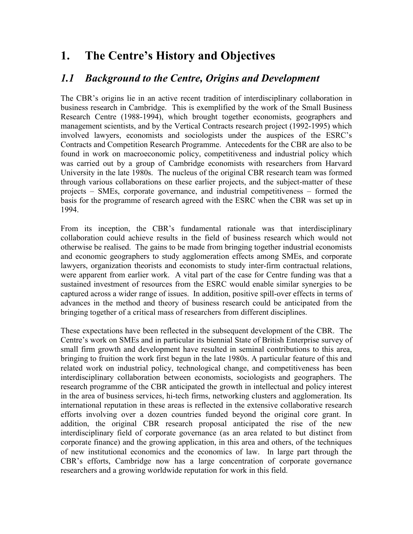# **1. The Centre's History and Objectives**

### *1.1 Background to the Centre, Origins and Development*

The CBR's origins lie in an active recent tradition of interdisciplinary collaboration in business research in Cambridge. This is exemplified by the work of the Small Business Research Centre (1988-1994), which brought together economists, geographers and management scientists, and by the Vertical Contracts research project (1992-1995) which involved lawyers, economists and sociologists under the auspices of the ESRC's Contracts and Competition Research Programme. Antecedents for the CBR are also to be found in work on macroeconomic policy, competitiveness and industrial policy which was carried out by a group of Cambridge economists with researchers from Harvard University in the late 1980s. The nucleus of the original CBR research team was formed through various collaborations on these earlier projects, and the subject-matter of these projects – SMEs, corporate governance, and industrial competitiveness – formed the basis for the programme of research agreed with the ESRC when the CBR was set up in 1994.

From its inception, the CBR's fundamental rationale was that interdisciplinary collaboration could achieve results in the field of business research which would not otherwise be realised. The gains to be made from bringing together industrial economists and economic geographers to study agglomeration effects among SMEs, and corporate lawyers, organization theorists and economists to study inter-firm contractual relations, were apparent from earlier work. A vital part of the case for Centre funding was that a sustained investment of resources from the ESRC would enable similar synergies to be captured across a wider range of issues. In addition, positive spill-over effects in terms of advances in the method and theory of business research could be anticipated from the bringing together of a critical mass of researchers from different disciplines.

These expectations have been reflected in the subsequent development of the CBR. The Centre's work on SMEs and in particular its biennial State of British Enterprise survey of small firm growth and development have resulted in seminal contributions to this area, bringing to fruition the work first begun in the late 1980s. A particular feature of this and related work on industrial policy, technological change, and competitiveness has been interdisciplinary collaboration between economists, sociologists and geographers. The research programme of the CBR anticipated the growth in intellectual and policy interest in the area of business services, hi-tech firms, networking clusters and agglomeration. Its international reputation in these areas is reflected in the extensive collaborative research efforts involving over a dozen countries funded beyond the original core grant. In addition, the original CBR research proposal anticipated the rise of the new interdisciplinary field of corporate governance (as an area related to but distinct from corporate finance) and the growing application, in this area and others, of the techniques of new institutional economics and the economics of law. In large part through the CBR's efforts, Cambridge now has a large concentration of corporate governance researchers and a growing worldwide reputation for work in this field.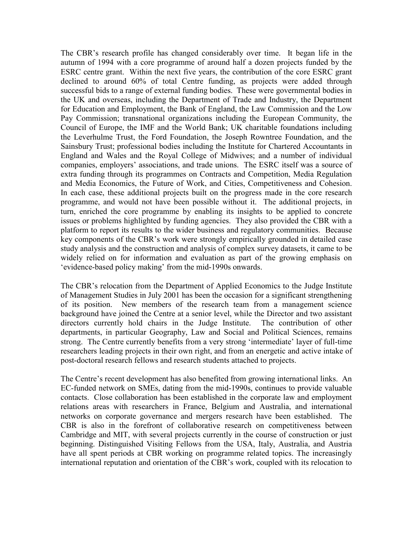The CBR's research profile has changed considerably over time. It began life in the autumn of 1994 with a core programme of around half a dozen projects funded by the ESRC centre grant. Within the next five years, the contribution of the core ESRC grant declined to around 60% of total Centre funding, as projects were added through successful bids to a range of external funding bodies. These were governmental bodies in the UK and overseas, including the Department of Trade and Industry, the Department for Education and Employment, the Bank of England, the Law Commission and the Low Pay Commission; transnational organizations including the European Community, the Council of Europe, the IMF and the World Bank; UK charitable foundations including the Leverhulme Trust, the Ford Foundation, the Joseph Rowntree Foundation, and the Sainsbury Trust; professional bodies including the Institute for Chartered Accountants in England and Wales and the Royal College of Midwives; and a number of individual companies, employers' associations, and trade unions. The ESRC itself was a source of extra funding through its programmes on Contracts and Competition, Media Regulation and Media Economics, the Future of Work, and Cities, Competitiveness and Cohesion. In each case, these additional projects built on the progress made in the core research programme, and would not have been possible without it. The additional projects, in turn, enriched the core programme by enabling its insights to be applied to concrete issues or problems highlighted by funding agencies. They also provided the CBR with a platform to report its results to the wider business and regulatory communities. Because key components of the CBR's work were strongly empirically grounded in detailed case study analysis and the construction and analysis of complex survey datasets, it came to be widely relied on for information and evaluation as part of the growing emphasis on 'evidence-based policy making' from the mid-1990s onwards.

The CBR's relocation from the Department of Applied Economics to the Judge Institute of Management Studies in July 2001 has been the occasion for a significant strengthening of its position. New members of the research team from a management science background have joined the Centre at a senior level, while the Director and two assistant directors currently hold chairs in the Judge Institute. The contribution of other departments, in particular Geography, Law and Social and Political Sciences, remains strong. The Centre currently benefits from a very strong 'intermediate' layer of full-time researchers leading projects in their own right, and from an energetic and active intake of post-doctoral research fellows and research students attached to projects.

The Centre's recent development has also benefited from growing international links. An EC-funded network on SMEs, dating from the mid-1990s, continues to provide valuable contacts. Close collaboration has been established in the corporate law and employment relations areas with researchers in France, Belgium and Australia, and international networks on corporate governance and mergers research have been established. The CBR is also in the forefront of collaborative research on competitiveness between Cambridge and MIT, with several projects currently in the course of construction or just beginning. Distinguished Visiting Fellows from the USA, Italy, Australia, and Austria have all spent periods at CBR working on programme related topics. The increasingly international reputation and orientation of the CBR's work, coupled with its relocation to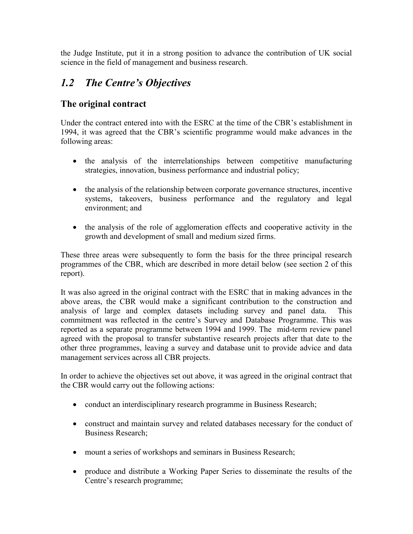the Judge Institute, put it in a strong position to advance the contribution of UK social science in the field of management and business research.

## *1.2 The Centre's Objectives*

#### **The original contract**

Under the contract entered into with the ESRC at the time of the CBR's establishment in 1994, it was agreed that the CBR's scientific programme would make advances in the following areas:

- the analysis of the interrelationships between competitive manufacturing strategies, innovation, business performance and industrial policy;
- the analysis of the relationship between corporate governance structures, incentive systems, takeovers, business performance and the regulatory and legal environment; and
- the analysis of the role of agglomeration effects and cooperative activity in the growth and development of small and medium sized firms.

These three areas were subsequently to form the basis for the three principal research programmes of the CBR, which are described in more detail below (see section 2 of this report).

It was also agreed in the original contract with the ESRC that in making advances in the above areas, the CBR would make a significant contribution to the construction and analysis of large and complex datasets including survey and panel data. This commitment was reflected in the centre's Survey and Database Programme. This was reported as a separate programme between 1994 and 1999. The mid-term review panel agreed with the proposal to transfer substantive research projects after that date to the other three programmes, leaving a survey and database unit to provide advice and data management services across all CBR projects.

In order to achieve the objectives set out above, it was agreed in the original contract that the CBR would carry out the following actions:

- conduct an interdisciplinary research programme in Business Research;
- construct and maintain survey and related databases necessary for the conduct of Business Research;
- mount a series of workshops and seminars in Business Research;
- produce and distribute a Working Paper Series to disseminate the results of the Centre's research programme;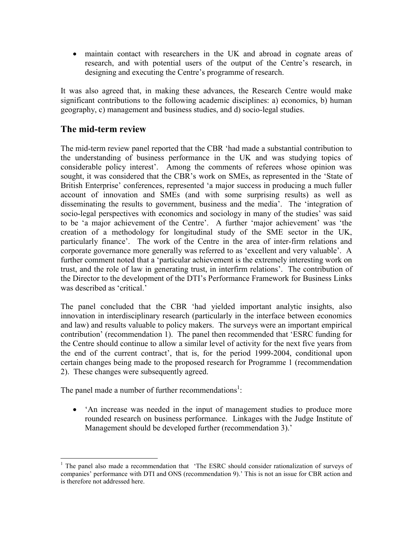- maintain contact with researchers in the UK and abroad in cognate areas of research, and with potential users of the output of the Centre's research, in designing and executing the Centre's programme of research.

It was also agreed that, in making these advances, the Research Centre would make significant contributions to the following academic disciplines: a) economics, b) human geography, c) management and business studies, and d) socio-legal studies.

#### **The mid-term review**

The mid-term review panel reported that the CBR 'had made a substantial contribution to the understanding of business performance in the UK and was studying topics of considerable policy interest'. Among the comments of referees whose opinion was sought, it was considered that the CBR's work on SMEs, as represented in the 'State of British Enterprise' conferences, represented 'a major success in producing a much fuller account of innovation and SMEs (and with some surprising results) as well as disseminating the results to government, business and the media'. The 'integration of socio-legal perspectives with economics and sociology in many of the studies' was said to be 'a major achievement of the Centre'. A further 'major achievement' was 'the creation of a methodology for longitudinal study of the SME sector in the UK, particularly finance'. The work of the Centre in the area of inter-firm relations and corporate governance more generally was referred to as 'excellent and very valuable'. A further comment noted that a 'particular achievement is the extremely interesting work on trust, and the role of law in generating trust, in interfirm relations'. The contribution of the Director to the development of the DTI's Performance Framework for Business Links was described as 'critical.'

The panel concluded that the CBR 'had yielded important analytic insights, also innovation in interdisciplinary research (particularly in the interface between economics and law) and results valuable to policy makers. The surveys were an important empirical contribution' (recommendation 1). The panel then recommended that 'ESRC funding for the Centre should continue to allow a similar level of activity for the next five years from the end of the current contract', that is, for the period 1999-2004, conditional upon certain changes being made to the proposed research for Programme 1 (recommendation 2). These changes were subsequently agreed.

The panel made a number of further recommendations<sup>[1](#page-3-0)</sup>:

• 'An increase was needed in the input of management studies to produce more rounded research on business performance. Linkages with the Judge Institute of Management should be developed further (recommendation 3).'

<span id="page-3-0"></span> $\overline{a}$ <sup>1</sup> The panel also made a recommendation that 'The ESRC should consider rationalization of surveys of companies' performance with DTI and ONS (recommendation 9).' This is not an issue for CBR action and is therefore not addressed here.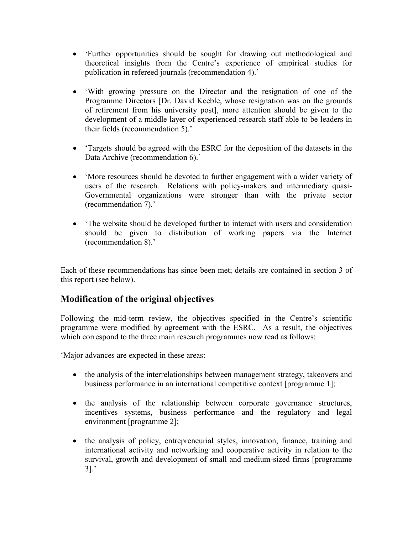- 'Further opportunities should be sought for drawing out methodological and theoretical insights from the Centre's experience of empirical studies for publication in refereed journals (recommendation 4).'
- 'With growing pressure on the Director and the resignation of one of the Programme Directors [Dr. David Keeble, whose resignation was on the grounds of retirement from his university post], more attention should be given to the development of a middle layer of experienced research staff able to be leaders in their fields (recommendation 5).'
- 'Targets should be agreed with the ESRC for the deposition of the datasets in the Data Archive (recommendation 6).'
- 'More resources should be devoted to further engagement with a wider variety of users of the research. Relations with policy-makers and intermediary quasi-Governmental organizations were stronger than with the private sector (recommendation 7).'
- 'The website should be developed further to interact with users and consideration should be given to distribution of working papers via the Internet (recommendation 8).'

Each of these recommendations has since been met; details are contained in section 3 of this report (see below).

#### **Modification of the original objectives**

Following the mid-term review, the objectives specified in the Centre's scientific programme were modified by agreement with the ESRC. As a result, the objectives which correspond to the three main research programmes now read as follows:

'Major advances are expected in these areas:

- the analysis of the interrelationships between management strategy, takeovers and business performance in an international competitive context [programme 1];
- the analysis of the relationship between corporate governance structures, incentives systems, business performance and the regulatory and legal environment [programme 2];
- the analysis of policy, entrepreneurial styles, innovation, finance, training and international activity and networking and cooperative activity in relation to the survival, growth and development of small and medium-sized firms [programme 3].'